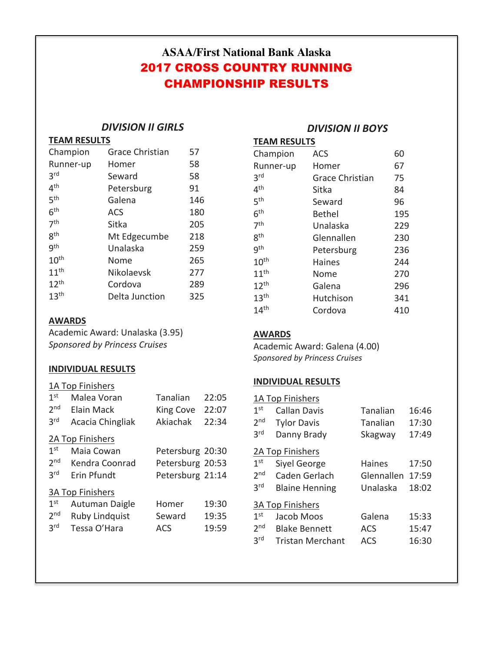# **ASAA/First National Bank Alaska** 2017 CROSS COUNTRY RUNNING CHAMPIONSHIP RESULTS

## *DIVISION II GIRLS*

### **TEAM RESULTS**

| Champion         | Grace Christian | 57  |
|------------------|-----------------|-----|
| Runner-up        | Homer           | 58  |
| 3 <sup>rd</sup>  | Seward          | 58  |
| 4 <sup>th</sup>  | Petersburg      | 91  |
| 5 <sup>th</sup>  | Galena          | 146 |
| 6 <sup>th</sup>  | ACS             | 180 |
| 7 <sup>th</sup>  | Sitka           | 205 |
| gth              | Mt Edgecumbe    | 218 |
| gth              | Unalaska        | 259 |
| 10 <sup>th</sup> | Nome            | 265 |
| 11 <sup>th</sup> | Nikolaevsk      | 277 |
| 12 <sup>th</sup> | Cordova         | 289 |
| 13 <sup>th</sup> | Delta Junction  | 325 |

### **AWARDS**

Academic Award: Unalaska (3.95) *Sponsored by Princess Cruises*

### **INDIVIDUAL RESULTS**

|                 | 1A Top Finishers        |                  |       |
|-----------------|-------------------------|------------------|-------|
| 1 <sup>st</sup> | Malea Voran             | Tanalian         | 22:05 |
| 2 <sub>nd</sub> | Elain Mack              | <b>King Cove</b> | 22:07 |
| <b>2rd</b>      | Acacia Chingliak        | Akiachak         | 22:34 |
|                 | 2A Top Finishers        |                  |       |
| 1 <sup>st</sup> | Maia Cowan              | Petersburg 20:30 |       |
| 2 <sub>nd</sub> | Kendra Coonrad          | Petersburg 20:53 |       |
| <b>3rd</b>      | Erin Pfundt             | Petersburg 21:14 |       |
|                 | <b>3A Top Finishers</b> |                  |       |
| 1 <sup>st</sup> | Autuman Daigle          | Homer            | 19:30 |
| 2 <sub>nd</sub> | <b>Ruby Lindquist</b>   | Seward           | 19:35 |
| <b>2rd</b>      | Tessa O'Hara            | ACS              | 19:59 |

## *DIVISION II BOYS*

**TEAM RESULTS** 

| Champion         | <b>ACS</b>             | 60  |
|------------------|------------------------|-----|
| Runner-up        | Homer                  | 67  |
| 3 <sup>rd</sup>  | <b>Grace Christian</b> | 75  |
| $4^{\text{th}}$  | Sitka                  | 84  |
| 5 <sup>th</sup>  | Seward                 | 96  |
| 6 <sup>th</sup>  | <b>Bethel</b>          | 195 |
| 7 <sup>th</sup>  | Unalaska               | 229 |
| 8 <sup>th</sup>  | Glennallen             | 230 |
| gth              | Petersburg             | 236 |
| 10 <sup>th</sup> | <b>Haines</b>          | 244 |
| $11^{\text{th}}$ | Nome                   | 270 |
| 12 <sup>th</sup> | Galena                 | 296 |
| 13 <sup>th</sup> | Hutchison              | 341 |
| 14 <sup>th</sup> | Cordova                | 410 |

### **AWARDS**

Academic Award: Galena (4.00) *Sponsored by Princess Cruises*

### **INDIVIDUAL RESULTS**

| 1A Top Finishers |                         |            |       |  |
|------------------|-------------------------|------------|-------|--|
| 1 <sup>st</sup>  | <b>Callan Davis</b>     | Tanalian   | 16:46 |  |
| 2 <sub>nd</sub>  | <b>Tylor Davis</b>      | Tanalian   | 17:30 |  |
| 3 <sup>rd</sup>  | Danny Brady             | Skagway    | 17:49 |  |
|                  | 2A Top Finishers        |            |       |  |
| 1 <sup>st</sup>  | Siyel George            | Haines     | 17:50 |  |
| 2 <sub>nd</sub>  | Caden Gerlach           | Glennallen | 17:59 |  |
| 3 <sup>rd</sup>  | <b>Blaine Henning</b>   | Unalaska   | 18:02 |  |
|                  | <b>3A Top Finishers</b> |            |       |  |
| 1 <sup>st</sup>  | Jacob Moos              | Galena     | 15:33 |  |
| 2 <sub>nd</sub>  | <b>Blake Bennett</b>    | ACS        | 15:47 |  |
| 3 <sup>rd</sup>  | <b>Tristan Merchant</b> | <b>ACS</b> | 16:30 |  |
|                  |                         |            |       |  |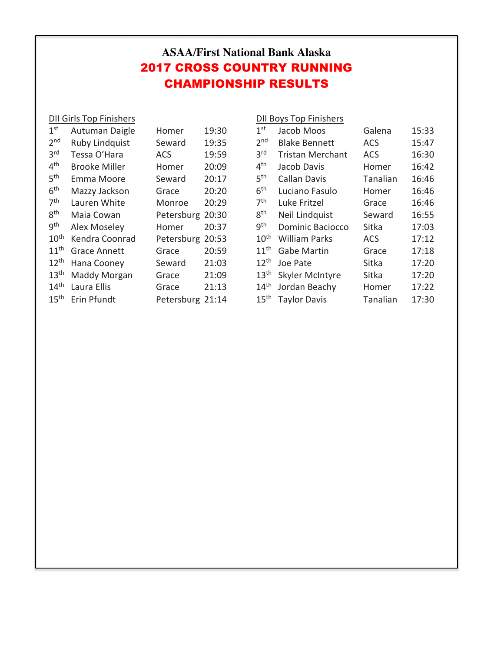# **ASAA/First National Bank Alaska** 2017 CROSS COUNTRY RUNNING CHAMPIONSHIP RESULTS

DII Girls Top Finishers

|  |  | <b>DII Boys Top Finishers</b> |
|--|--|-------------------------------|
|  |  |                               |

| 1 <sup>st</sup>  | Autuman Daigle        | Homer      | 19:30 |
|------------------|-----------------------|------------|-------|
| 2 <sub>nd</sub>  | <b>Ruby Lindquist</b> | Seward     | 19:35 |
| 3 <sup>rd</sup>  | Tessa O'Hara          | ACS        | 19:59 |
| 4 <sup>th</sup>  | <b>Brooke Miller</b>  | Homer      | 20:09 |
| 5 <sup>th</sup>  | Emma Moore            | Seward     | 20:17 |
| 6 <sup>th</sup>  | Mazzy Jackson         | Grace      | 20:20 |
| 7 <sup>th</sup>  | Lauren White          | Monroe     | 20:29 |
| gth              | Maia Cowan            | Petersburg | 20:30 |
| gth              | <b>Alex Moseley</b>   | Homer      | 20:37 |
| 10 <sup>th</sup> | Kendra Coonrad        | Petersburg | 20:53 |
| $11^{\text{th}}$ | <b>Grace Annett</b>   | Grace      | 20:59 |
| $12^{th}$        | Hana Cooney           | Seward     | 21:03 |
| 13 <sup>th</sup> | Maddy Morgan          | Grace      | 21:09 |
| 14 <sup>th</sup> | Laura Ellis           | Grace      | 21:13 |
| 15 <sup>th</sup> | Erin Pfundt           | Petersburg | 21:14 |

| 1 <sup>st</sup>  | Jacob Moos              | Galena     | 15:33 |
|------------------|-------------------------|------------|-------|
| 2 <sub>nd</sub>  | <b>Blake Bennett</b>    | <b>ACS</b> | 15:47 |
| 3 <sup>rd</sup>  | <b>Tristan Merchant</b> | <b>ACS</b> | 16:30 |
| 4 <sup>th</sup>  | Jacob Davis             | Homer      | 16:42 |
| 5 <sup>th</sup>  | Callan Davis            | Tanalian   | 16:46 |
| 6 <sup>th</sup>  | Luciano Fasulo          | Homer      | 16:46 |
| 7 <sup>th</sup>  | Luke Fritzel            | Grace      | 16:46 |
| gth              | Neil Lindquist          | Seward     | 16:55 |
| gth              | <b>Dominic Baciocco</b> | Sitka      | 17:03 |
| 10 <sup>th</sup> | <b>William Parks</b>    | <b>ACS</b> | 17:12 |
| 11 <sup>th</sup> | <b>Gabe Martin</b>      | Grace      | 17:18 |
| 12 <sup>th</sup> | Joe Pate                | Sitka      | 17:20 |
| 13 <sup>th</sup> | Skyler McIntyre         | Sitka      | 17:20 |
| 14 <sup>th</sup> | Jordan Beachy           | Homer      | 17:22 |
| 15 <sup>th</sup> | <b>Taylor Davis</b>     | Tanalian   | 17:30 |